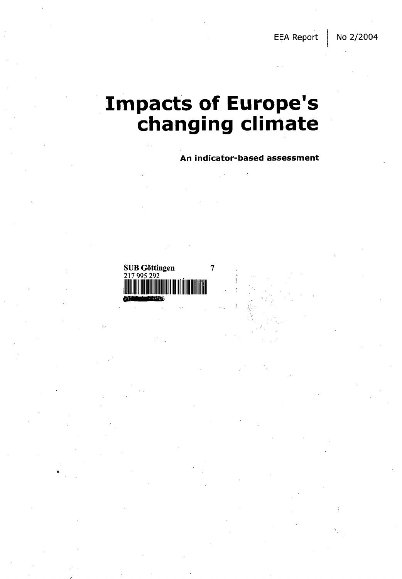EEA Report | No 2/2004

## **Impacts of Europe's changing climate**

**An indicator-based assessment**

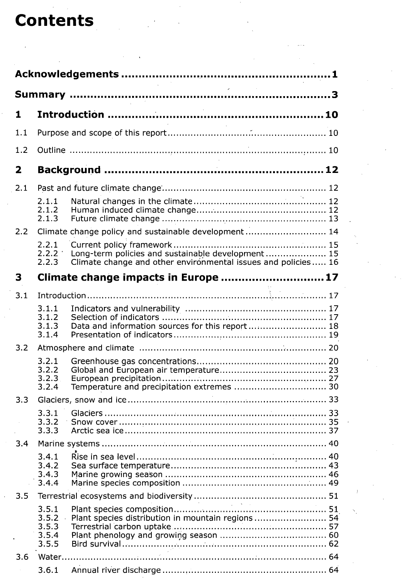## **Contents**

| 1            |                                           |                                                                                                                    |  |
|--------------|-------------------------------------------|--------------------------------------------------------------------------------------------------------------------|--|
| 1.1          |                                           |                                                                                                                    |  |
| 1.2          |                                           |                                                                                                                    |  |
| $\mathbf{2}$ |                                           |                                                                                                                    |  |
| 2.1          |                                           |                                                                                                                    |  |
|              | 2.1.1<br>2.1.2<br>2.1.3                   |                                                                                                                    |  |
| 2.2          |                                           | Climate change policy and sustainable development 14                                                               |  |
|              | 2.2.1<br>$2.2.2+$<br>2.2.3                | Long-term policies and sustainable development 15<br>Climate change and other environmental issues and policies 16 |  |
| 3            |                                           | Climate change impacts in Europe 17                                                                                |  |
| 3.1          |                                           |                                                                                                                    |  |
|              | 3.1.1<br>3.1.2<br>3.1.3<br>3.1.4          | Data and information sources for this report 18                                                                    |  |
| 3.2          |                                           |                                                                                                                    |  |
|              | 3.2.1<br>3.2.2<br>3.2.3<br>3.2.4          | Temperature and precipitation extremes  30                                                                         |  |
| 3.3          |                                           |                                                                                                                    |  |
|              | 3.3.2<br>3.3.3                            |                                                                                                                    |  |
| 3.4          |                                           |                                                                                                                    |  |
|              | 3.4.1<br>3.4.2<br>3.4.3<br>3.4.4          |                                                                                                                    |  |
| 3.5          |                                           | <b>Contractor</b>                                                                                                  |  |
|              | 3.5.1<br>3.5.2<br>3.5.3<br>3.5.4<br>3.5.5 | Plant species distribution in mountain regions  54                                                                 |  |
| 3.6          |                                           |                                                                                                                    |  |
|              | 3.6.1                                     |                                                                                                                    |  |